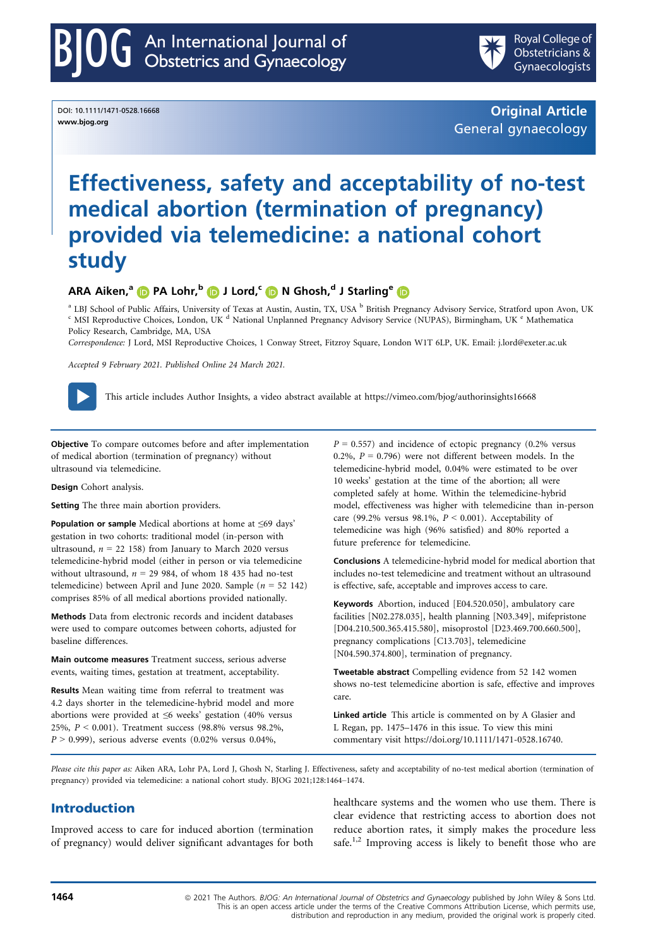DOI: 10.1111/1471-0528.16668 www.bjog.org

Original Article General gynaecology

# Effectiveness, safety and acceptability of no-test medical abortion (termination of pregnancy) provided via telemedicine: a national cohort study

# ARA Aiken,<sup>a</sup> D PA Lohr,<sup>b</sup> D J Lord,<sup>c</sup> D N Ghosh,<sup>d</sup> J Starling<sup>e</sup> D

<sup>a</sup> LBJ School of Public Affairs, University of Texas at Austin, Austin, TX, USA <sup>b</sup> British Pregnancy Advisory Service, Stratford upon Avon, UK <sup>c</sup> MSI Reproductive Choices, London, UK <sup>d</sup> National Unplanned Pregnancy Adv Policy Research, Cambridge, MA, USA

Correspondence: J Lord, MSI Reproductive Choices, 1 Conway Street, Fitzroy Square, London W1T 6LP, UK. Email: [j.lord@exeter.ac.uk](mailto:)

Accepted 9 February 2021. Published Online 24 March 2021.



This article includes Author Insights, a video abstract available at<https://vimeo.com/bjog/authorinsights16668>

Objective To compare outcomes before and after implementation of medical abortion (termination of pregnancy) without ultrasound via telemedicine.

Design Cohort analysis.

Setting The three main abortion providers.

Population or sample Medical abortions at home at ≤69 days' gestation in two cohorts: traditional model (in-person with ultrasound,  $n = 22$  158) from January to March 2020 versus telemedicine-hybrid model (either in person or via telemedicine without ultrasound,  $n = 29984$ , of whom 18 435 had no-test telemedicine) between April and June 2020. Sample ( $n = 52$  142) comprises 85% of all medical abortions provided nationally.

Methods Data from electronic records and incident databases were used to compare outcomes between cohorts, adjusted for baseline differences.

Main outcome measures Treatment success, serious adverse events, waiting times, gestation at treatment, acceptability.

Results Mean waiting time from referral to treatment was 4.2 days shorter in the telemedicine-hybrid model and more abortions were provided at ≤6 weeks' gestation (40% versus 25%, P < 0.001). Treatment success (98.8% versus 98.2%,  $P > 0.999$ ), serious adverse events (0.02% versus 0.04%,

 $P = 0.557$ ) and incidence of ectopic pregnancy (0.2% versus 0.2%,  $P = 0.796$ ) were not different between models. In the telemedicine-hybrid model, 0.04% were estimated to be over 10 weeks' gestation at the time of the abortion; all were completed safely at home. Within the telemedicine-hybrid model, effectiveness was higher with telemedicine than in-person care (99.2% versus 98.1%,  $P \le 0.001$ ). Acceptability of telemedicine was high (96% satisfied) and 80% reported a future preference for telemedicine.

Conclusions A telemedicine-hybrid model for medical abortion that includes no-test telemedicine and treatment without an ultrasound is effective, safe, acceptable and improves access to care.

Keywords Abortion, induced [E04.520.050], ambulatory care facilities [N02.278.035], health planning [N03.349], mifepristone [D04.210.500.365.415.580], misoprostol [D23.469.700.660.500], pregnancy complications [C13.703], telemedicine [N04.590.374.800], termination of pregnancy.

Tweetable abstract Compelling evidence from 52 142 women shows no-test telemedicine abortion is safe, effective and improves care.

Linked article This article is commented on by A Glasier and L Regan, pp. 1475–1476 in this issue. To view this mini commentary visit [https://doi.org/10.1111/1471-0528.16740.](https://doi.org/10.1111/1471-0528.16740)

Please cite this paper as: Aiken ARA, Lohr PA, Lord J, Ghosh N, Starling J. Effectiveness, safety and acceptability of no-test medical abortion (termination of pregnancy) provided via telemedicine: a national cohort study. BJOG 202[1;128:1464](https://doi.org/10.1111/1471-0528.16668)–1474.

# Introduction

Improved access to care for induced abortion (termination of pregnancy) would deliver significant advantages for both healthcare systems and the women who use them. There is clear evidence that restricting access to abortion does not reduce abortion rates, it simply makes the procedure less safe.<sup>1,2</sup> Improving access is likely to benefit those who are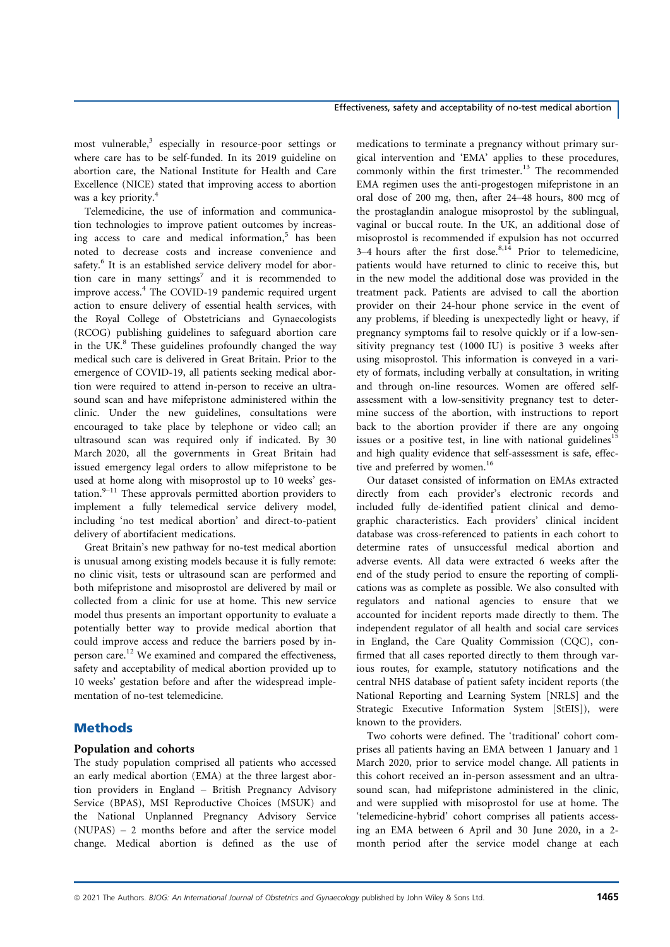most vulnerable,<sup>3</sup> especially in resource-poor settings or where care has to be self-funded. In its 2019 guideline on abortion care, the National Institute for Health and Care Excellence (NICE) stated that improving access to abortion was a key priority.<sup>4</sup>

Telemedicine, the use of information and communication technologies to improve patient outcomes by increasing access to care and medical information, $5$  has been noted to decrease costs and increase convenience and safety.<sup>6</sup> It is an established service delivery model for abortion care in many settings<sup>7</sup> and it is recommended to improve access.<sup>4</sup> The COVID-19 pandemic required urgent action to ensure delivery of essential health services, with the Royal College of Obstetricians and Gynaecologists (RCOG) publishing guidelines to safeguard abortion care in the UK. $\rm{8}$  These guidelines profoundly changed the way medical such care is delivered in Great Britain. Prior to the emergence of COVID-19, all patients seeking medical abortion were required to attend in-person to receive an ultrasound scan and have mifepristone administered within the clinic. Under the new guidelines, consultations were encouraged to take place by telephone or video call; an ultrasound scan was required only if indicated. By 30 March 2020, all the governments in Great Britain had issued emergency legal orders to allow mifepristone to be used at home along with misoprostol up to 10 weeks' gestation. $9-11$  These approvals permitted abortion providers to implement a fully telemedical service delivery model, including 'no test medical abortion' and direct-to-patient delivery of abortifacient medications.

Great Britain's new pathway for no-test medical abortion is unusual among existing models because it is fully remote: no clinic visit, tests or ultrasound scan are performed and both mifepristone and misoprostol are delivered by mail or collected from a clinic for use at home. This new service model thus presents an important opportunity to evaluate a potentially better way to provide medical abortion that could improve access and reduce the barriers posed by inperson care.<sup>12</sup> We examined and compared the effectiveness, safety and acceptability of medical abortion provided up to 10 weeks' gestation before and after the widespread implementation of no-test telemedicine.

# Methods

#### Population and cohorts

The study population comprised all patients who accessed an early medical abortion (EMA) at the three largest abortion providers in England – British Pregnancy Advisory Service (BPAS), MSI Reproductive Choices (MSUK) and the National Unplanned Pregnancy Advisory Service (NUPAS) – 2 months before and after the service model change. Medical abortion is defined as the use of

medications to terminate a pregnancy without primary surgical intervention and 'EMA' applies to these procedures, commonly within the first trimester.<sup>13</sup> The recommended EMA regimen uses the anti-progestogen mifepristone in an oral dose of 200 mg, then, after 24–48 hours, 800 mcg of the prostaglandin analogue misoprostol by the sublingual, vaginal or buccal route. In the UK, an additional dose of misoprostol is recommended if expulsion has not occurred 3–4 hours after the first dose. $8,14$  Prior to telemedicine, patients would have returned to clinic to receive this, but in the new model the additional dose was provided in the treatment pack. Patients are advised to call the abortion provider on their 24-hour phone service in the event of any problems, if bleeding is unexpectedly light or heavy, if pregnancy symptoms fail to resolve quickly or if a low-sensitivity pregnancy test (1000 IU) is positive 3 weeks after using misoprostol. This information is conveyed in a variety of formats, including verbally at consultation, in writing and through on-line resources. Women are offered selfassessment with a low-sensitivity pregnancy test to determine success of the abortion, with instructions to report back to the abortion provider if there are any ongoing issues or a positive test, in line with national guidelines<sup>15</sup> and high quality evidence that self-assessment is safe, effective and preferred by women.<sup>16</sup>

Our dataset consisted of information on EMAs extracted directly from each provider's electronic records and included fully de-identified patient clinical and demographic characteristics. Each providers' clinical incident database was cross-referenced to patients in each cohort to determine rates of unsuccessful medical abortion and adverse events. All data were extracted 6 weeks after the end of the study period to ensure the reporting of complications was as complete as possible. We also consulted with regulators and national agencies to ensure that we accounted for incident reports made directly to them. The independent regulator of all health and social care services in England, the Care Quality Commission (CQC), confirmed that all cases reported directly to them through various routes, for example, statutory notifications and the central NHS database of patient safety incident reports (the National Reporting and Learning System [NRLS] and the Strategic Executive Information System [StEIS]), were known to the providers.

Two cohorts were defined. The 'traditional' cohort comprises all patients having an EMA between 1 January and 1 March 2020, prior to service model change. All patients in this cohort received an in-person assessment and an ultrasound scan, had mifepristone administered in the clinic, and were supplied with misoprostol for use at home. The 'telemedicine-hybrid' cohort comprises all patients accessing an EMA between 6 April and 30 June 2020, in a 2 month period after the service model change at each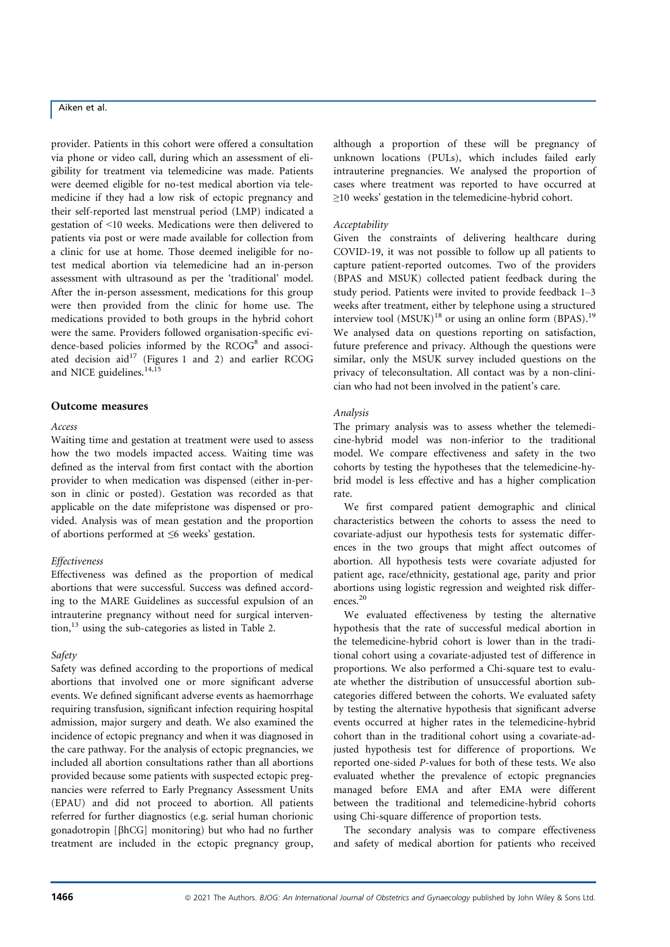provider. Patients in this cohort were offered a consultation via phone or video call, during which an assessment of eligibility for treatment via telemedicine was made. Patients were deemed eligible for no-test medical abortion via telemedicine if they had a low risk of ectopic pregnancy and their self-reported last menstrual period (LMP) indicated a gestation of <10 weeks. Medications were then delivered to patients via post or were made available for collection from a clinic for use at home. Those deemed ineligible for notest medical abortion via telemedicine had an in-person assessment with ultrasound as per the 'traditional' model. After the in-person assessment, medications for this group were then provided from the clinic for home use. The medications provided to both groups in the hybrid cohort were the same. Providers followed organisation-specific evidence-based policies informed by the  $RCOG<sup>8</sup>$  and associated decision  $aid^{17}$  (Figures 1 and 2) and earlier RCOG and NICE guidelines. $14,15$ 

#### Outcome measures

#### Access

Waiting time and gestation at treatment were used to assess how the two models impacted access. Waiting time was defined as the interval from first contact with the abortion provider to when medication was dispensed (either in-person in clinic or posted). Gestation was recorded as that applicable on the date mifepristone was dispensed or provided. Analysis was of mean gestation and the proportion of abortions performed at ≤6 weeks' gestation.

#### Effectiveness

Effectiveness was defined as the proportion of medical abortions that were successful. Success was defined according to the MARE Guidelines as successful expulsion of an intrauterine pregnancy without need for surgical interven- $\frac{13}{13}$  using the sub-categories as listed in Table 2.

#### Safety

Safety was defined according to the proportions of medical abortions that involved one or more significant adverse events. We defined significant adverse events as haemorrhage requiring transfusion, significant infection requiring hospital admission, major surgery and death. We also examined the incidence of ectopic pregnancy and when it was diagnosed in the care pathway. For the analysis of ectopic pregnancies, we included all abortion consultations rather than all abortions provided because some patients with suspected ectopic pregnancies were referred to Early Pregnancy Assessment Units (EPAU) and did not proceed to abortion. All patients referred for further diagnostics (e.g. serial human chorionic gonadotropin [bhCG] monitoring) but who had no further treatment are included in the ectopic pregnancy group,

although a proportion of these will be pregnancy of unknown locations (PULs), which includes failed early intrauterine pregnancies. We analysed the proportion of cases where treatment was reported to have occurred at ≥10 weeks' gestation in the telemedicine-hybrid cohort.

#### Acceptability

Given the constraints of delivering healthcare during COVID-19, it was not possible to follow up all patients to capture patient-reported outcomes. Two of the providers (BPAS and MSUK) collected patient feedback during the study period. Patients were invited to provide feedback 1–3 weeks after treatment, either by telephone using a structured interview tool  $(MSUK)^{18}$  or using an online form  $(BPAS)^{19}$ We analysed data on questions reporting on satisfaction, future preference and privacy. Although the questions were similar, only the MSUK survey included questions on the privacy of teleconsultation. All contact was by a non-clinician who had not been involved in the patient's care.

#### Analysis

The primary analysis was to assess whether the telemedicine-hybrid model was non-inferior to the traditional model. We compare effectiveness and safety in the two cohorts by testing the hypotheses that the telemedicine-hybrid model is less effective and has a higher complication rate.

We first compared patient demographic and clinical characteristics between the cohorts to assess the need to covariate-adjust our hypothesis tests for systematic differences in the two groups that might affect outcomes of abortion. All hypothesis tests were covariate adjusted for patient age, race/ethnicity, gestational age, parity and prior abortions using logistic regression and weighted risk differences.<sup>20</sup>

We evaluated effectiveness by testing the alternative hypothesis that the rate of successful medical abortion in the telemedicine-hybrid cohort is lower than in the traditional cohort using a covariate-adjusted test of difference in proportions. We also performed a Chi-square test to evaluate whether the distribution of unsuccessful abortion subcategories differed between the cohorts. We evaluated safety by testing the alternative hypothesis that significant adverse events occurred at higher rates in the telemedicine-hybrid cohort than in the traditional cohort using a covariate-adjusted hypothesis test for difference of proportions. We reported one-sided P-values for both of these tests. We also evaluated whether the prevalence of ectopic pregnancies managed before EMA and after EMA were different between the traditional and telemedicine-hybrid cohorts using Chi-square difference of proportion tests.

The secondary analysis was to compare effectiveness and safety of medical abortion for patients who received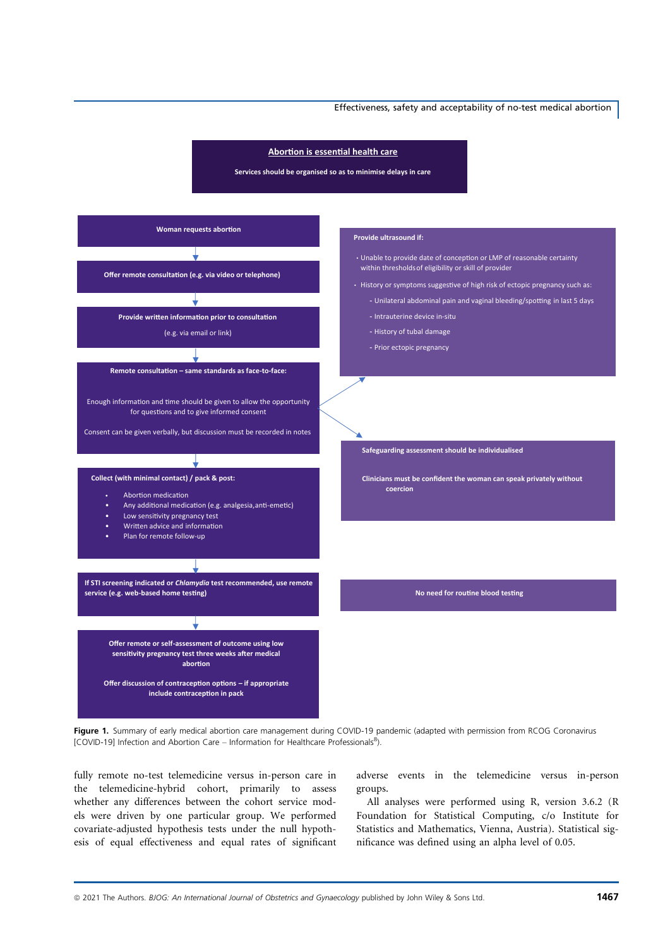#### Effectiveness, safety and acceptability of no-test medical abortion



Figure 1. Summary of early medical abortion care management during COVID-19 pandemic (adapted with permission from RCOG Coronavirus [COVID-19] Infection and Abortion Care - Information for Healthcare Professionals<sup>8</sup>).

fully remote no-test telemedicine versus in-person care in the telemedicine-hybrid cohort, primarily to assess whether any differences between the cohort service models were driven by one particular group. We performed covariate-adjusted hypothesis tests under the null hypothesis of equal effectiveness and equal rates of significant

adverse events in the telemedicine versus in-person groups.

All analyses were performed using R, version 3.6.2 (R Foundation for Statistical Computing, c/o Institute for Statistics and Mathematics, Vienna, Austria). Statistical significance was defined using an alpha level of 0.05.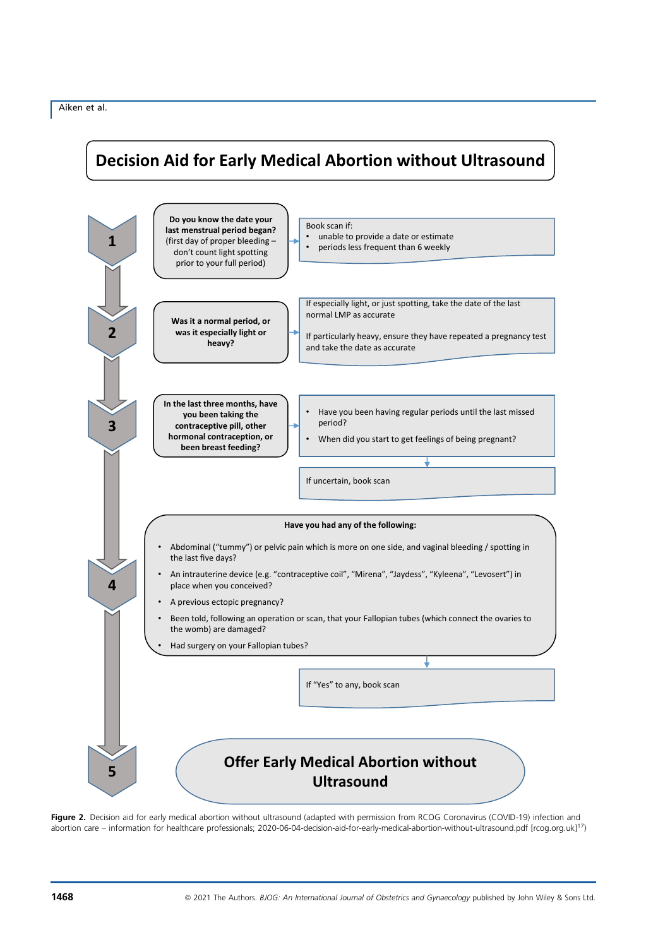# **Decision Aid for Early Medical Abortion without Ultrasound**



Figure 2. Decision aid for early medical abortion without ultrasound (adapted with permission from RCOG Coronavirus (COVID-19) infection and abortion care – information for healthcare professionals; 2020-06-04-decision-aid-for-early-medical-abortion-without-ultrasound.pdf [rcog.org.uk]<sup>17</sup>)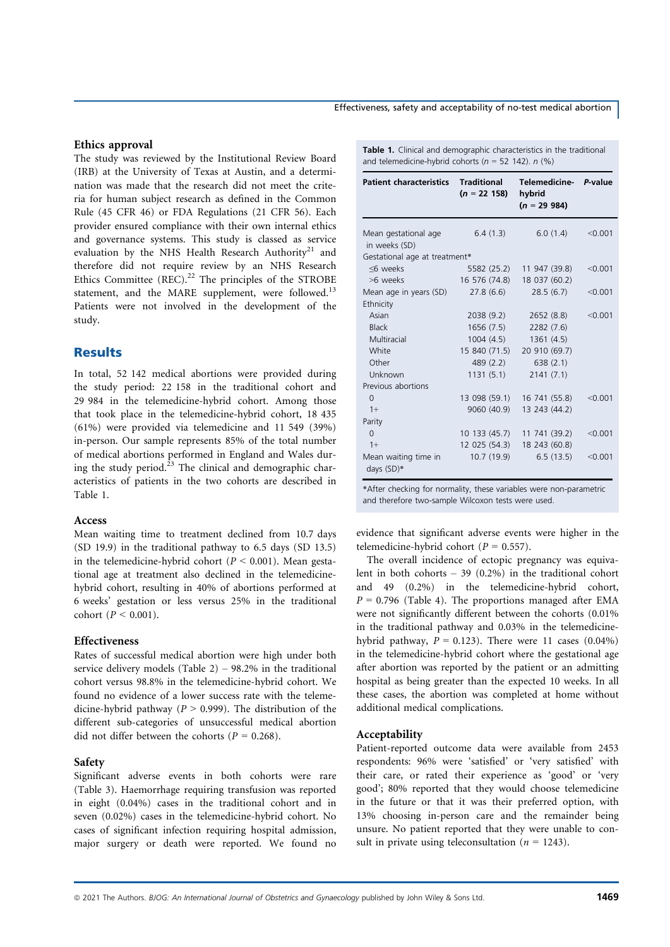#### Ethics approval

The study was reviewed by the Institutional Review Board (IRB) at the University of Texas at Austin, and a determination was made that the research did not meet the criteria for human subject research as defined in the Common Rule (45 CFR 46) or FDA Regulations (21 CFR 56). Each provider ensured compliance with their own internal ethics and governance systems. This study is classed as service evaluation by the NHS Health Research Authority<sup>21</sup> and therefore did not require review by an NHS Research Ethics Committee  $(REC).^{22}$  The principles of the STROBE statement, and the MARE supplement, were followed.<sup>13</sup> Patients were not involved in the development of the study.

# Results

In total, 52 142 medical abortions were provided during the study period: 22 158 in the traditional cohort and 29 984 in the telemedicine-hybrid cohort. Among those that took place in the telemedicine-hybrid cohort, 18 435 (61%) were provided via telemedicine and 11 549 (39%) in-person. Our sample represents 85% of the total number of medical abortions performed in England and Wales during the study period. $2^{23}$  The clinical and demographic characteristics of patients in the two cohorts are described in Table 1.

#### Access

Mean waiting time to treatment declined from 10.7 days (SD 19.9) in the traditional pathway to 6.5 days (SD 13.5) in the telemedicine-hybrid cohort ( $P \le 0.001$ ). Mean gestational age at treatment also declined in the telemedicinehybrid cohort, resulting in 40% of abortions performed at 6 weeks' gestation or less versus 25% in the traditional cohort ( $P < 0.001$ ).

# Effectiveness

Rates of successful medical abortion were high under both service delivery models (Table  $2$ ) – 98.2% in the traditional cohort versus 98.8% in the telemedicine-hybrid cohort. We found no evidence of a lower success rate with the telemedicine-hybrid pathway ( $P > 0.999$ ). The distribution of the different sub-categories of unsuccessful medical abortion did not differ between the cohorts ( $P = 0.268$ ).

#### Safety

Significant adverse events in both cohorts were rare (Table 3). Haemorrhage requiring transfusion was reported in eight (0.04%) cases in the traditional cohort and in seven (0.02%) cases in the telemedicine-hybrid cohort. No cases of significant infection requiring hospital admission, major surgery or death were reported. We found no

#### Effectiveness, safety and acceptability of no-test medical abortion

Table 1. Clinical and demographic characteristics in the traditional and telemedicine-hybrid cohorts ( $n = 52$  142).  $n$  (%)

| <b>Patient characteristics</b>        | Traditional<br>$(n = 22 158)$ | Telemedicine- P-value<br>hybrid<br>$(n = 29984)$ |         |
|---------------------------------------|-------------------------------|--------------------------------------------------|---------|
| Mean gestational age<br>in weeks (SD) | 6.4(1.3)                      | 6.0(1.4)                                         | < 0.001 |
| Gestational age at treatment*         |                               |                                                  |         |
| <6 weeks                              | 5582 (25.2)                   | 11 947 (39.8)                                    | < 0.001 |
| >6 weeks                              | 16 576 (74.8)                 | 18 037 (60.2)                                    |         |
| Mean age in years (SD)                | 27.8 (6.6)                    | 28.5(6.7)                                        | < 0.001 |
| Ethnicity                             |                               |                                                  |         |
| Asian                                 | 2038 (9.2)                    | 2652(8.8)                                        | < 0.001 |
| <b>Black</b>                          | 1656 (7.5)                    | 2282 (7.6)                                       |         |
| Multiracial                           | 1004 (4.5)                    | 1361(4.5)                                        |         |
| White                                 | 15 840 (71.5)                 | 20 910 (69.7)                                    |         |
| Other                                 | 489 (2.2)                     | 638(2.1)                                         |         |
| Unknown                               | 1131(5.1)                     | 2141(7.1)                                        |         |
| Previous abortions                    |                               |                                                  |         |
| $\Omega$                              |                               | 13 098 (59.1) 16 741 (55.8)                      | < 0.001 |
| $1+$                                  | 9060 (40.9)                   | 13 243 (44.2)                                    |         |
| Parity                                |                               |                                                  |         |
| $\Omega$                              | 10 133 (45.7)                 | 11 741 (39.2)                                    | < 0.001 |
| $1+$                                  | 12 025 (54.3)                 | 18 243 (60.8)                                    |         |
| Mean waiting time in<br>days (SD)*    | 10.7 (19.9)                   | 6.5(13.5)                                        | < 0.001 |

\*After checking for normality, these variables were non-parametric and therefore two-sample Wilcoxon tests were used.

evidence that significant adverse events were higher in the telemedicine-hybrid cohort ( $P = 0.557$ ).

The overall incidence of ectopic pregnancy was equivalent in both cohorts – 39 (0.2%) in the traditional cohort and 49 (0.2%) in the telemedicine-hybrid cohort,  $P = 0.796$  (Table 4). The proportions managed after EMA were not significantly different between the cohorts (0.01% in the traditional pathway and 0.03% in the telemedicinehybrid pathway,  $P = 0.123$ ). There were 11 cases (0.04%) in the telemedicine-hybrid cohort where the gestational age after abortion was reported by the patient or an admitting hospital as being greater than the expected 10 weeks. In all these cases, the abortion was completed at home without additional medical complications.

#### Acceptability

Patient-reported outcome data were available from 2453 respondents: 96% were 'satisfied' or 'very satisfied' with their care, or rated their experience as 'good' or 'very good'; 80% reported that they would choose telemedicine in the future or that it was their preferred option, with 13% choosing in-person care and the remainder being unsure. No patient reported that they were unable to consult in private using teleconsultation ( $n = 1243$ ).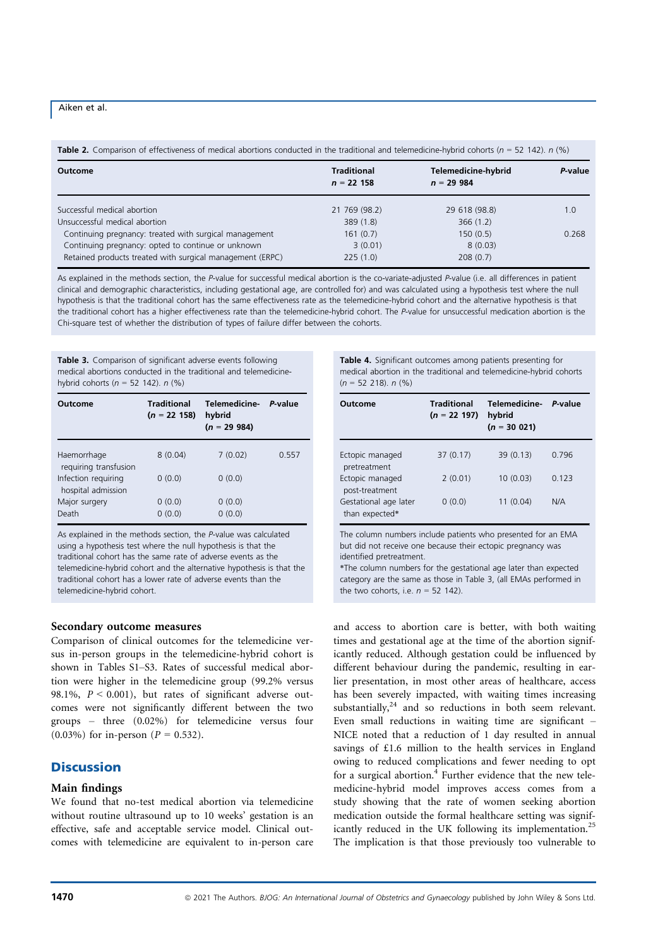Table 2. Comparison of effectiveness of medical abortions conducted in the traditional and telemedicine-hybrid cohorts ( $n = 52, 142$ ).  $n$  (%)

| Outcome                                                   | <b>Traditional</b><br>$n = 22 158$ | Telemedicine-hybrid<br>$n = 29984$ | P-value |
|-----------------------------------------------------------|------------------------------------|------------------------------------|---------|
| Successful medical abortion                               | 21 769 (98.2)                      | 29 618 (98.8)                      | 1.0     |
| Unsuccessful medical abortion                             | 389 (1.8)                          | 366(1.2)                           |         |
| Continuing pregnancy: treated with surgical management    | 161(0.7)                           | 150(0.5)                           | 0.268   |
| Continuing pregnancy: opted to continue or unknown        | 3(0.01)                            | 8(0.03)                            |         |
| Retained products treated with surgical management (ERPC) | 225(1.0)                           | 208(0.7)                           |         |

As explained in the methods section, the P-value for successful medical abortion is the co-variate-adjusted P-value (i.e. all differences in patient clinical and demographic characteristics, including gestational age, are controlled for) and was calculated using a hypothesis test where the null hypothesis is that the traditional cohort has the same effectiveness rate as the telemedicine-hybrid cohort and the alternative hypothesis is that the traditional cohort has a higher effectiveness rate than the telemedicine-hybrid cohort. The P-value for unsuccessful medication abortion is the Chi-square test of whether the distribution of types of failure differ between the cohorts.

Table 3. Comparison of significant adverse events following medical abortions conducted in the traditional and telemedicinehybrid cohorts ( $n = 52$  142).  $n$  (%)

| Outcome                                   | <b>Traditional</b><br>$(n = 22 158)$ | Telemedicine-<br>hybrid<br>$(n = 299984)$ | P-value |
|-------------------------------------------|--------------------------------------|-------------------------------------------|---------|
| Haemorrhage<br>requiring transfusion      | 8(0.04)                              | 7(0.02)                                   | 0.557   |
| Infection requiring<br>hospital admission | 0(0.0)                               | 0(0.0)                                    |         |
| Major surgery<br>Death                    | 0(0.0)<br>0(0.0)                     | 0(0.0)<br>0(0.0)                          |         |

As explained in the methods section, the P-value was calculated using a hypothesis test where the null hypothesis is that the traditional cohort has the same rate of adverse events as the telemedicine-hybrid cohort and the alternative hypothesis is that the traditional cohort has a lower rate of adverse events than the telemedicine-hybrid cohort.

#### Secondary outcome measures

Comparison of clinical outcomes for the telemedicine versus in-person groups in the telemedicine-hybrid cohort is shown in Tables S1–S3. Rates of successful medical abortion were higher in the telemedicine group (99.2% versus 98.1%,  $P < 0.001$ ), but rates of significant adverse outcomes were not significantly different between the two groups – three (0.02%) for telemedicine versus four  $(0.03\%)$  for in-person  $(P = 0.532)$ .

# **Discussion**

#### Main findings

We found that no-test medical abortion via telemedicine without routine ultrasound up to 10 weeks' gestation is an effective, safe and acceptable service model. Clinical outcomes with telemedicine are equivalent to in-person care Table 4. Significant outcomes among patients presenting for medical abortion in the traditional and telemedicine-hybrid cohorts  $(n = 52, 218)$ ,  $n$  (%)

| Outcome                                 | <b>Traditional</b><br>$(n = 22 197)$ | Telemedicine-<br>hybrid<br>$(n = 30021)$ | P-value |
|-----------------------------------------|--------------------------------------|------------------------------------------|---------|
| Ectopic managed<br>pretreatment         | 37(0.17)                             | 39(0.13)                                 | 0.796   |
| Ectopic managed<br>post-treatment       | 2(0.01)                              | 10(0.03)                                 | 0.123   |
| Gestational age later<br>than expected* | 0(0.0)                               | 11(0.04)                                 | N/A     |

The column numbers include patients who presented for an EMA but did not receive one because their ectopic pregnancy was identified pretreatment.

\*The column numbers for the gestational age later than expected category are the same as those in Table 3, (all EMAs performed in the two cohorts, i.e.  $n = 52$  142).

and access to abortion care is better, with both waiting times and gestational age at the time of the abortion significantly reduced. Although gestation could be influenced by different behaviour during the pandemic, resulting in earlier presentation, in most other areas of healthcare, access has been severely impacted, with waiting times increasing substantially, $24$  and so reductions in both seem relevant. Even small reductions in waiting time are significant – NICE noted that a reduction of 1 day resulted in annual savings of £1.6 million to the health services in England owing to reduced complications and fewer needing to opt for a surgical abortion.<sup>4</sup> Further evidence that the new telemedicine-hybrid model improves access comes from a study showing that the rate of women seeking abortion medication outside the formal healthcare setting was significantly reduced in the UK following its implementation.<sup>25</sup> The implication is that those previously too vulnerable to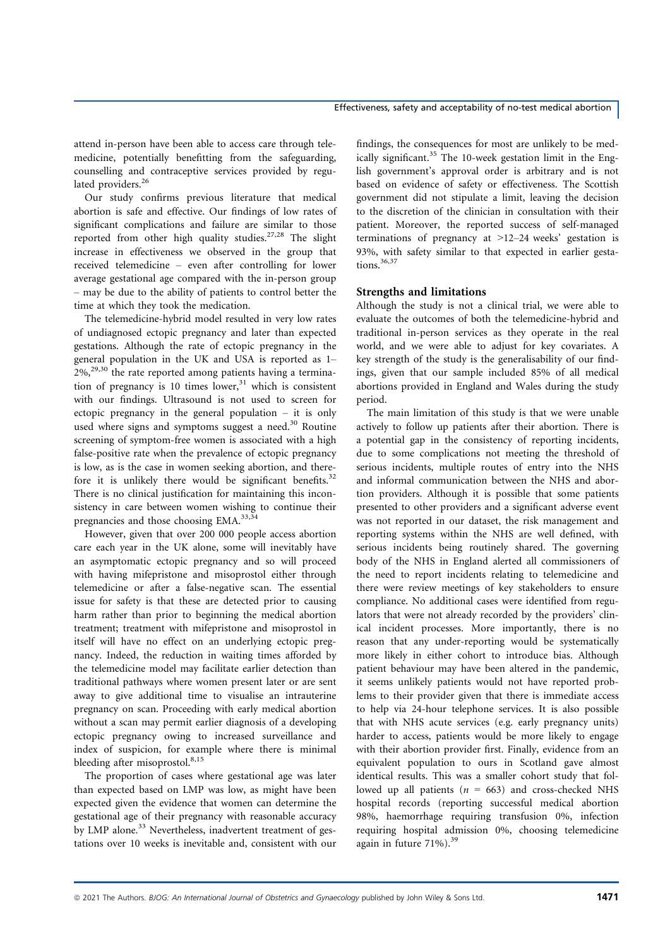attend in-person have been able to access care through telemedicine, potentially benefitting from the safeguarding, counselling and contraceptive services provided by regulated providers.<sup>26</sup>

Our study confirms previous literature that medical abortion is safe and effective. Our findings of low rates of significant complications and failure are similar to those reported from other high quality studies.<sup>27,28</sup> The slight increase in effectiveness we observed in the group that received telemedicine – even after controlling for lower average gestational age compared with the in-person group – may be due to the ability of patients to control better the time at which they took the medication.

The telemedicine-hybrid model resulted in very low rates of undiagnosed ectopic pregnancy and later than expected gestations. Although the rate of ectopic pregnancy in the general population in the UK and USA is reported as 1–  $2\%$ ,<sup>29,30</sup> the rate reported among patients having a termination of pregnancy is 10 times  $lower, <sup>31</sup>$  which is consistent with our findings. Ultrasound is not used to screen for ectopic pregnancy in the general population – it is only used where signs and symptoms suggest a need.<sup>30</sup> Routine screening of symptom-free women is associated with a high false-positive rate when the prevalence of ectopic pregnancy is low, as is the case in women seeking abortion, and therefore it is unlikely there would be significant benefits.<sup>32</sup> There is no clinical justification for maintaining this inconsistency in care between women wishing to continue their pregnancies and those choosing EMA.<sup>33,34</sup>

However, given that over 200 000 people access abortion care each year in the UK alone, some will inevitably have an asymptomatic ectopic pregnancy and so will proceed with having mifepristone and misoprostol either through telemedicine or after a false-negative scan. The essential issue for safety is that these are detected prior to causing harm rather than prior to beginning the medical abortion treatment; treatment with mifepristone and misoprostol in itself will have no effect on an underlying ectopic pregnancy. Indeed, the reduction in waiting times afforded by the telemedicine model may facilitate earlier detection than traditional pathways where women present later or are sent away to give additional time to visualise an intrauterine pregnancy on scan. Proceeding with early medical abortion without a scan may permit earlier diagnosis of a developing ectopic pregnancy owing to increased surveillance and index of suspicion, for example where there is minimal bleeding after misoprostol.<sup>8,15</sup>

The proportion of cases where gestational age was later than expected based on LMP was low, as might have been expected given the evidence that women can determine the gestational age of their pregnancy with reasonable accuracy by LMP alone.<sup>33</sup> Nevertheless, inadvertent treatment of gestations over 10 weeks is inevitable and, consistent with our

findings, the consequences for most are unlikely to be medically significant.<sup>35</sup> The 10-week gestation limit in the English government's approval order is arbitrary and is not based on evidence of safety or effectiveness. The Scottish government did not stipulate a limit, leaving the decision to the discretion of the clinician in consultation with their patient. Moreover, the reported success of self-managed terminations of pregnancy at >12–24 weeks' gestation is 93%, with safety similar to that expected in earlier gestations.<sup>36,37</sup>

# Strengths and limitations

Although the study is not a clinical trial, we were able to evaluate the outcomes of both the telemedicine-hybrid and traditional in-person services as they operate in the real world, and we were able to adjust for key covariates. A key strength of the study is the generalisability of our findings, given that our sample included 85% of all medical abortions provided in England and Wales during the study period.

The main limitation of this study is that we were unable actively to follow up patients after their abortion. There is a potential gap in the consistency of reporting incidents, due to some complications not meeting the threshold of serious incidents, multiple routes of entry into the NHS and informal communication between the NHS and abortion providers. Although it is possible that some patients presented to other providers and a significant adverse event was not reported in our dataset, the risk management and reporting systems within the NHS are well defined, with serious incidents being routinely shared. The governing body of the NHS in England alerted all commissioners of the need to report incidents relating to telemedicine and there were review meetings of key stakeholders to ensure compliance. No additional cases were identified from regulators that were not already recorded by the providers' clinical incident processes. More importantly, there is no reason that any under-reporting would be systematically more likely in either cohort to introduce bias. Although patient behaviour may have been altered in the pandemic, it seems unlikely patients would not have reported problems to their provider given that there is immediate access to help via 24-hour telephone services. It is also possible that with NHS acute services (e.g. early pregnancy units) harder to access, patients would be more likely to engage with their abortion provider first. Finally, evidence from an equivalent population to ours in Scotland gave almost identical results. This was a smaller cohort study that followed up all patients ( $n = 663$ ) and cross-checked NHS hospital records (reporting successful medical abortion 98%, haemorrhage requiring transfusion 0%, infection requiring hospital admission 0%, choosing telemedicine again in future  $71\%$ ).<sup>39</sup>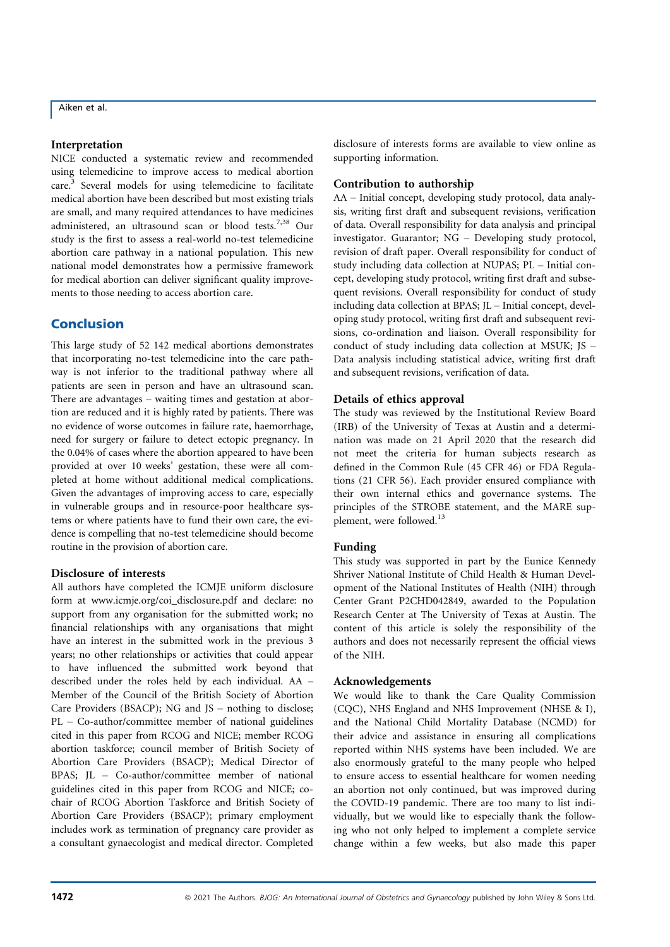#### Interpretation

NICE conducted a systematic review and recommended using telemedicine to improve access to medical abortion care.<sup>3</sup> Several models for using telemedicine to facilitate medical abortion have been described but most existing trials are small, and many required attendances to have medicines administered, an ultrasound scan or blood tests.<sup>7,38</sup> Our study is the first to assess a real-world no-test telemedicine abortion care pathway in a national population. This new national model demonstrates how a permissive framework for medical abortion can deliver significant quality improvements to those needing to access abortion care.

# Conclusion

This large study of 52 142 medical abortions demonstrates that incorporating no-test telemedicine into the care pathway is not inferior to the traditional pathway where all patients are seen in person and have an ultrasound scan. There are advantages – waiting times and gestation at abortion are reduced and it is highly rated by patients. There was no evidence of worse outcomes in failure rate, haemorrhage, need for surgery or failure to detect ectopic pregnancy. In the 0.04% of cases where the abortion appeared to have been provided at over 10 weeks' gestation, these were all completed at home without additional medical complications. Given the advantages of improving access to care, especially in vulnerable groups and in resource-poor healthcare systems or where patients have to fund their own care, the evidence is compelling that no-test telemedicine should become routine in the provision of abortion care.

# Disclosure of interests

All authors have completed the ICMJE uniform disclosure form at [www.icmje.org/coi\\_disclosure.pdf](http://www.icmje.org/coi_disclosure.pdf) and declare: no support from any organisation for the submitted work; no financial relationships with any organisations that might have an interest in the submitted work in the previous 3 years; no other relationships or activities that could appear to have influenced the submitted work beyond that described under the roles held by each individual. AA – Member of the Council of the British Society of Abortion Care Providers (BSACP); NG and JS – nothing to disclose; PL – Co-author/committee member of national guidelines cited in this paper from RCOG and NICE; member RCOG abortion taskforce; council member of British Society of Abortion Care Providers (BSACP); Medical Director of BPAS; JL – Co-author/committee member of national guidelines cited in this paper from RCOG and NICE; cochair of RCOG Abortion Taskforce and British Society of Abortion Care Providers (BSACP); primary employment includes work as termination of pregnancy care provider as a consultant gynaecologist and medical director. Completed disclosure of interests forms are available to view online as supporting information.

### Contribution to authorship

AA – Initial concept, developing study protocol, data analysis, writing first draft and subsequent revisions, verification of data. Overall responsibility for data analysis and principal investigator. Guarantor; NG – Developing study protocol, revision of draft paper. Overall responsibility for conduct of study including data collection at NUPAS; PL – Initial concept, developing study protocol, writing first draft and subsequent revisions. Overall responsibility for conduct of study including data collection at BPAS; JL – Initial concept, developing study protocol, writing first draft and subsequent revisions, co-ordination and liaison. Overall responsibility for conduct of study including data collection at MSUK; JS – Data analysis including statistical advice, writing first draft and subsequent revisions, verification of data.

#### Details of ethics approval

The study was reviewed by the Institutional Review Board (IRB) of the University of Texas at Austin and a determination was made on 21 April 2020 that the research did not meet the criteria for human subjects research as defined in the Common Rule (45 CFR 46) or FDA Regulations (21 CFR 56). Each provider ensured compliance with their own internal ethics and governance systems. The principles of the STROBE statement, and the MARE supplement, were followed.<sup>13</sup>

# Funding

This study was supported in part by the Eunice Kennedy Shriver National Institute of Child Health & Human Development of the National Institutes of Health (NIH) through Center Grant P2CHD042849, awarded to the Population Research Center at The University of Texas at Austin. The content of this article is solely the responsibility of the authors and does not necessarily represent the official views of the NIH.

#### Acknowledgements

We would like to thank the Care Quality Commission (CQC), NHS England and NHS Improvement (NHSE & I), and the National Child Mortality Database (NCMD) for their advice and assistance in ensuring all complications reported within NHS systems have been included. We are also enormously grateful to the many people who helped to ensure access to essential healthcare for women needing an abortion not only continued, but was improved during the COVID-19 pandemic. There are too many to list individually, but we would like to especially thank the following who not only helped to implement a complete service change within a few weeks, but also made this paper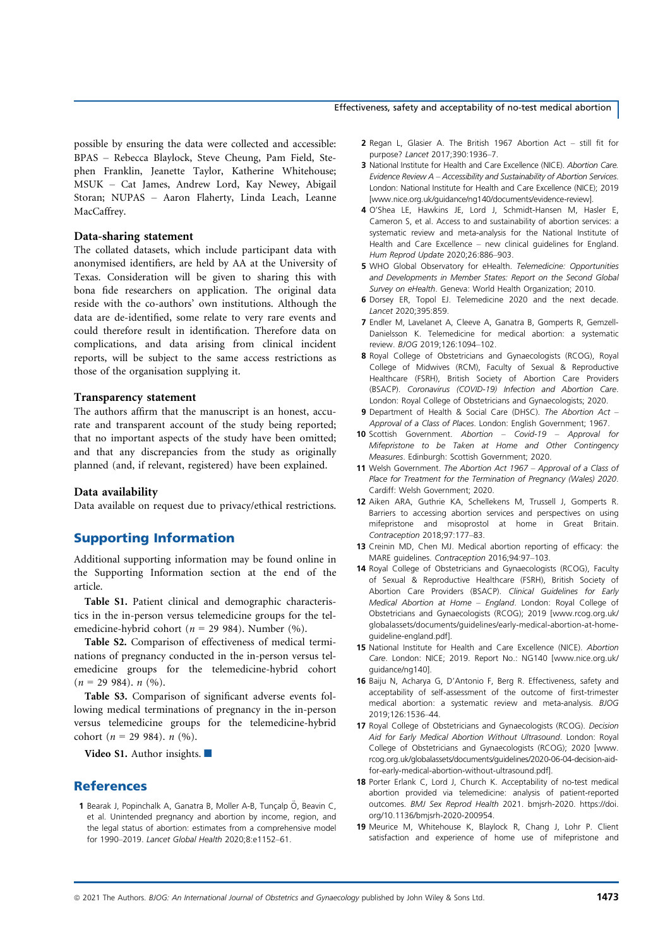#### Effectiveness, safety and acceptability of no-test medical abortion

possible by ensuring the data were collected and accessible: BPAS – Rebecca Blaylock, Steve Cheung, Pam Field, Stephen Franklin, Jeanette Taylor, Katherine Whitehouse; MSUK – Cat James, Andrew Lord, Kay Newey, Abigail Storan; NUPAS – Aaron Flaherty, Linda Leach, Leanne MacCaffrey.

#### Data-sharing statement

The collated datasets, which include participant data with anonymised identifiers, are held by AA at the University of Texas. Consideration will be given to sharing this with bona fide researchers on application. The original data reside with the co-authors' own institutions. Although the data are de-identified, some relate to very rare events and could therefore result in identification. Therefore data on complications, and data arising from clinical incident reports, will be subject to the same access restrictions as those of the organisation supplying it.

#### Transparency statement

The authors affirm that the manuscript is an honest, accurate and transparent account of the study being reported; that no important aspects of the study have been omitted; and that any discrepancies from the study as originally planned (and, if relevant, registered) have been explained.

#### Data availability

Data available on request due to privacy/ethical restrictions.

# Supporting Information

Additional supporting information may be found online in the Supporting Information section at the end of the article.

Table S1. Patient clinical and demographic characteristics in the in-person versus telemedicine groups for the telemedicine-hybrid cohort ( $n = 29984$ ). Number (%).

Table S2. Comparison of effectiveness of medical terminations of pregnancy conducted in the in-person versus telemedicine groups for the telemedicine-hybrid cohort  $(n = 29984)$ . n  $(\%).$ 

Table S3. Comparison of significant adverse events following medical terminations of pregnancy in the in-person versus telemedicine groups for the telemedicine-hybrid cohort ( $n = 29984$ ).  $n(%)$ .

Video S1. Author insights.  $\blacksquare$ 

# References

1 Bearak J, Popinchalk A, Ganatra B, Moller A-B, Tuncalp Ö, Beavin C, et al. Unintended pregnancy and abortion by income, region, and the legal status of abortion: estimates from a comprehensive model for 1990–2019. Lancet Global Health 2020;8:e1152–61.

- 2 Regan L, Glasier A. The British 1967 Abortion Act still fit for purpose? Lancet 2017;390:1936–7.
- 3 National Institute for Health and Care Excellence (NICE). Abortion Care. Evidence Review A – Accessibility and Sustainability of Abortion Services. London: National Institute for Health and Care Excellence (NICE); 2019 [\[www.nice.org.uk/guidance/ng140/documents/evidence-review\]](http://www.nice.org.uk/guidance/ng140/documents/evidence-review).
- 4 O'Shea LE, Hawkins JE, Lord J, Schmidt-Hansen M, Hasler E, Cameron S, et al. Access to and sustainability of abortion services: a systematic review and meta-analysis for the National Institute of Health and Care Excellence – new clinical guidelines for England. Hum Reprod Update 2020;26:886–903.
- 5 WHO Global Observatory for eHealth. Telemedicine: Opportunities and Developments in Member States: Report on the Second Global Survey on eHealth. Geneva: World Health Organization; 2010.
- 6 Dorsey ER, Topol EJ. Telemedicine 2020 and the next decade. Lancet 2020;395:859.
- 7 Endler M, Lavelanet A, Cleeve A, Ganatra B, Gomperts R, Gemzell-Danielsson K. Telemedicine for medical abortion: a systematic review. BJOG 2019;126:1094–102.
- 8 Royal College of Obstetricians and Gynaecologists (RCOG), Royal College of Midwives (RCM), Faculty of Sexual & Reproductive Healthcare (FSRH), British Society of Abortion Care Providers (BSACP). Coronavirus (COVID-19) Infection and Abortion Care. London: Royal College of Obstetricians and Gynaecologists; 2020.
- 9 Department of Health & Social Care (DHSC). The Abortion Act -Approval of a Class of Places. London: English Government; 1967.
- 10 Scottish Government. Abortion Covid-19 Approval for Mifepristone to be Taken at Home and Other Contingency Measures. Edinburgh: Scottish Government; 2020.
- 11 Welsh Government. The Abortion Act 1967 Approval of a Class of Place for Treatment for the Termination of Pregnancy (Wales) 2020. Cardiff: Welsh Government; 2020.
- 12 Aiken ARA, Guthrie KA, Schellekens M, Trussell J, Gomperts R. Barriers to accessing abortion services and perspectives on using mifepristone and misoprostol at home in Great Britain. Contraception 2018;97:177–83.
- 13 Creinin MD, Chen MJ. Medical abortion reporting of efficacy: the MARE guidelines. Contraception 2016;94:97–103.
- 14 Royal College of Obstetricians and Gynaecologists (RCOG), Faculty of Sexual & Reproductive Healthcare (FSRH), British Society of Abortion Care Providers (BSACP). Clinical Guidelines for Early Medical Abortion at Home – England. London: Royal College of Obstetricians and Gynaecologists (RCOG); 2019 [\[www.rcog.org.uk/](http://www.rcog.org.uk/globalassets/documents/guidelines/early-medical-abortion-at-home-guideline-england.pdf) [globalassets/documents/guidelines/early-medical-abortion-at-home](http://www.rcog.org.uk/globalassets/documents/guidelines/early-medical-abortion-at-home-guideline-england.pdf)[guideline-england.pdf\]](http://www.rcog.org.uk/globalassets/documents/guidelines/early-medical-abortion-at-home-guideline-england.pdf).
- 15 National Institute for Health and Care Excellence (NICE). Abortion Care. London: NICE; 2019. Report No.: NG140 [\[www.nice.org.uk/](http://www.nice.org.uk/guidance/ng140) [guidance/ng140\]](http://www.nice.org.uk/guidance/ng140).
- 16 Baiju N, Acharya G, D'Antonio F, Berg R. Effectiveness, safety and acceptability of self-assessment of the outcome of first-trimester medical abortion: a systematic review and meta-analysis. BJOG 2019;126:1536–44.
- 17 Royal College of Obstetricians and Gynaecologists (RCOG). Decision Aid for Early Medical Abortion Without Ultrasound. London: Royal College of Obstetricians and Gynaecologists (RCOG); 2020 [\[www.](http://www.rcog.org.uk/globalassets/documents/guidelines/2020-06-04-decision-aid-for-early-medical-abortion-without-ultrasound.pdf) [rcog.org.uk/globalassets/documents/guidelines/2020-06-04-decision-aid](http://www.rcog.org.uk/globalassets/documents/guidelines/2020-06-04-decision-aid-for-early-medical-abortion-without-ultrasound.pdf)[for-early-medical-abortion-without-ultrasound.pdf\]](http://www.rcog.org.uk/globalassets/documents/guidelines/2020-06-04-decision-aid-for-early-medical-abortion-without-ultrasound.pdf).
- 18 Porter Erlank C, Lord J, Church K. Acceptability of no-test medical abortion provided via telemedicine: analysis of patient-reported outcomes. BMJ Sex Reprod Health 2021. bmjsrh-2020. [https://doi.](https://doi.org/10.1136/bmjsrh-2020-200954) [org/10.1136/bmjsrh-2020-200954.](https://doi.org/10.1136/bmjsrh-2020-200954)
- 19 Meurice M, Whitehouse K, Blaylock R, Chang J, Lohr P. Client satisfaction and experience of home use of mifepristone and